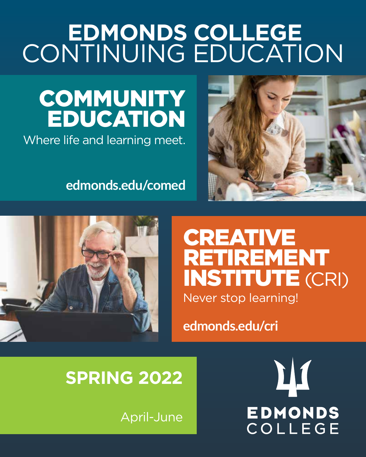# **EDMONDS COLLEGE** CONTINUING EDUCATION

# **COMMUNITY** EDUCATION

Where life and learning meet.

# **edmonds.edu/comed**





# CREATIVE RETIREMENT INSTITUTE (CRI) Never stop learning!

# **edmonds.edu/cri**

# **SPRING 2022**

April-June

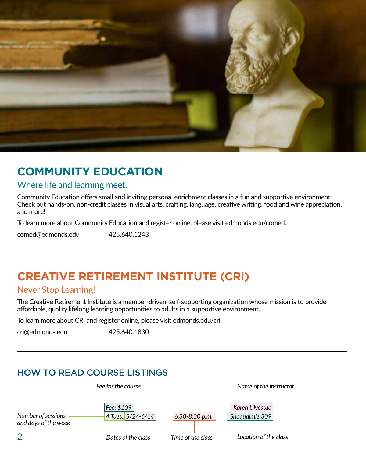

# **COMMUNITY EDUCATION**

#### Where life and learning meet.

Community Education offers small and inviting personal enrichment classes in a fun and supportive environment. Check out hands-on, non-credit classes in visual arts, crafting, language, creative writing, food and wine appreciation, and more!

To learn more about Community Education and register online, please visit edmonds.edu/comed.

comed@edmonds.edu 425.640.1243

# **CREATIVE RETIREMENT INSTITUTE (CRI)**

#### Never Stop Learning!

The Creative Retirement Institute is a member-driven, self-supporting organization whose mission is to provide affordable, quality lifelong learning opportunities to adults in a supportive environment.

To learn more about CRI and register online, please visit edmonds.edu/cri.

cri@edmonds.edu 425.640.1830

# HOW TO READ COURSE LISTINGS

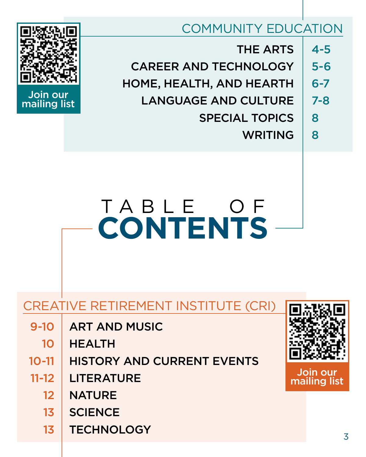# COMMUNITY EDUCATION

THE ARTS CAREER AND TECHNOLOGY HOME, HEALTH, AND HEARTH LANGUAGE AND CULTURE SPECIAL TOPICS WRITING 4-5 5-6 6-7 7-8 8 8



# Join our mailing list

# T A B L E O F **CONTENTS**

# CREATIVE RETIREMENT INSTITUTE (CRI)

- ART AND MUSIC 9-10
	- HEALTH 10
- HISTORY AND CURRENT EVENTS 10-11
- **LITERATURE** 11-12
	- **NATURE** 12
	- **SCIENCE** 13
	- **TECHNOLOGY** 13



Join our mailing list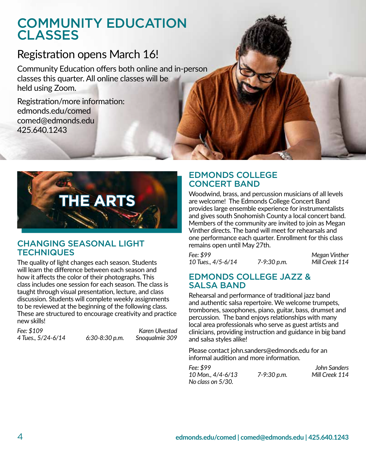# COMMUNITY EDUCATION **CLASSES**

# Registration opens March 16!

Community Education offers both online and in-person classes this quarter. All online classes will be held using Zoom.

Registration/more information: edmonds.edu/comed comed@edmonds.edu 425.640.1243



#### CHANGING SEASONAL LIGHT **TECHNIQUES**

The quality of light changes each season. Students will learn the difference between each season and how it affects the color of their photographs. This class includes one session for each season. The class is taught through visual presentation, lecture, and class discussion. Students will complete weekly assignments to be reviewed at the beginning of the following class. These are structured to encourage creativity and practice new skills!

*Fee: \$109 Karen Ulvestad* 

*4 Tues., 5/24-6/14 6:30-8:30 p.m. Snoqualmie 309*

EDMONDS COLLEGE CONCERT BAND

Woodwind, brass, and percussion musicians of all levels are welcome! The Edmonds College Concert Band provides large ensemble experience for instrumentalists and gives south Snohomish County a local concert band. Members of the community are invited to join as Megan Vinther directs. The band will meet for rehearsals and one performance each quarter. Enrollment for this class remains open until May 27th.

*Fee: \$99 Megan Vinther 10 Tues., 4/5-6/14 7-9:30 p.m. Mill Creek 114*

#### EDMONDS COLLEGE JAZZ & SALSA BAND

Rehearsal and performance of traditional jazz band and authentic salsa repertoire. We welcome trumpets, trombones, saxophones, piano, guitar, bass, drumset and percussion. The band enjoys relationships with many local area professionals who serve as guest artists and clinicians, providing instruction and guidance in big band and salsa styles alike!

Please contact john.sanders@edmonds.edu for an informal audition and more information.

| Fee: \$99         |             | John Sanders   |
|-------------------|-------------|----------------|
| 10 Mon., 4/4-6/13 | 7-9:30 p.m. | Mill Creek 114 |
| No class on 5/30. |             |                |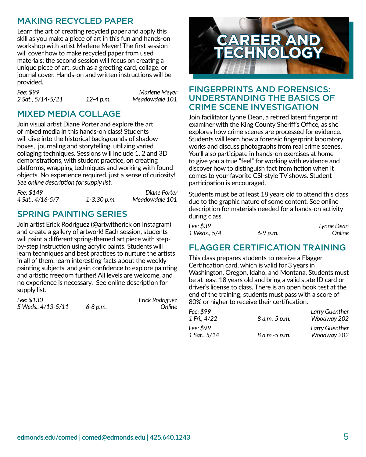## MAKING RECYCLED PAPER

Learn the art of creating recycled paper and apply this skill as you make a piece of art in this fun and hands-on workshop with artist Marlene Meyer! The first session will cover how to make recycled paper from used materials; the second session will focus on creating a unique piece of art, such as a greeting card, collage, or journal cover. Hands-on and written instructions will be provided.

*Fee: \$99 Marlene Meyer 2 Sat., 5/14-5/21 12-4 p.m. Meadowdale 101*

## MIXED MEDIA COLLAGE

Join visual artist Diane Porter and explore the art of mixed media in this hands-on class! Students will dive into the historical backgrounds of shadow boxes, journaling and storytelling, utilizing varied collaging techniques. Sessions will include 1, 2 and 3D demonstrations, with student practice, on creating platforms, wrapping techniques and working with found objects. No experience required, just a sense of curiosity! *See online description for supply list.*

| Fee: \$149       |                 | Diane Porter   |
|------------------|-----------------|----------------|
| 4 Sat., 4/16-5/7 | $1 - 3:30 p.m.$ | Meadowdale 101 |

### SPRING PAINTING SERIES

Join artist Erick Rodriguez (@artwitherick on Instagram) and create a gallery of artwork! Each session, students will paint a different spring-themed art piece with stepby-step instruction using acrylic paints. Students will learn techniques and best practices to nurture the artists in all of them, learn interesting facts about the weekly painting subjects, and gain confidence to explore painting and artistic freedom further! All levels are welcome, and no experience is necessary. See online description for supply list.

| Fee: \$130         |          | Erick Rodriguez |
|--------------------|----------|-----------------|
| 5 Weds., 4/13-5/11 | 6-8 p.m. | Online          |



#### FINGERPRINTS AND FORENSICS: UNDERSTANDING THE BASICS OF CRIME SCENE INVESTIGATION

Join facilitator Lynne Dean, a retired latent fingerprint examiner with the King County Sheriff's Office, as she explores how crime scenes are processed for evidence. Students will learn how a forensic fingerprint laboratory works and discuss photographs from real crime scenes. You'll also participate in hands-on exercises at home to give you a true "feel" for working with evidence and discover how to distinguish fact from fiction when it comes to your favorite CSI-style TV shows. Student participation is encouraged.

Students must be at least 18 years old to attend this class due to the graphic nature of some content. See online description for materials needed for a hands-on activity during class.

| Fee: \$39    |              | Lynne Dean |
|--------------|--------------|------------|
| 1 Weds., 5/4 | $6 - 9$ p.m. | Online     |

#### FLAGGER CERTIFICATION TRAINING

This class prepares students to receive a Flagger Certification card, which is valid for 3 years in Washington, Oregon, Idaho, and Montana. Students must be at least 18 years old and bring a valid state ID card or driver's license to class. There is an open book test at the end of the training; students must pass with a score of 80% or higher to receive their certification.

| Fee: \$99<br>1 Fri., 4/22 | 8 a.m.-5 p.m. | Larry Guenther<br>Woodway 202 |
|---------------------------|---------------|-------------------------------|
| Fee: \$99<br>1 Sat., 5/14 | 8 a.m.-5 p.m. | Larry Guenther<br>Woodway 202 |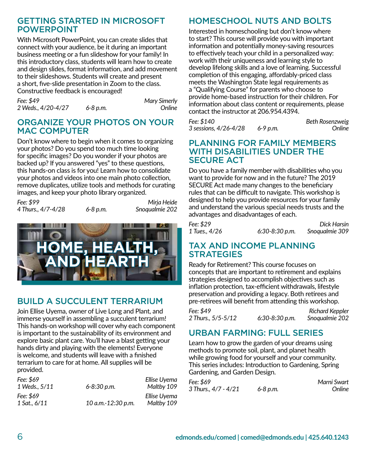#### GETTING STARTED IN MICROSOFT POWERPOINT

With Microsoft PowerPoint, you can create slides that connect with your audience, be it during an important business meeting or a fun slideshow for your family! In this introductory class, students will learn how to create and design slides, format information, and add movement to their slideshows. Students will create and present a short, five-slide presentation in Zoom to the class. Constructive feedback is encouraged!

| Fee: \$49          |              | <b>Mary Simerly</b> |
|--------------------|--------------|---------------------|
| 2 Weds., 4/20-4/27 | $6 - 8 p.m.$ | Online              |

#### ORGANIZE YOUR PHOTOS ON YOUR MAC COMPUTER

Don't know where to begin when it comes to organizing your photos? Do you spend too much time looking for specific images? Do you wonder if your photos are backed up? If you answered "yes" to these questions, this hands-on class is for you! Learn how to consolidate your photos and videos into one main photo collection, remove duplicates, utilize tools and methods for curating images, and keep your photo library organized.

*Fee: \$99 Mirja Heide* 4 Thurs.,  $4/7 - 4/28$  6-8 p.m.



# BUILD A SUCCULENT TERRARIUM

Join Ellise Uyema, owner of Live Long and Plant, and immerse yourself in assembling a succulent terrarium! This hands-on workshop will cover why each component is important to the sustainability of its environment and explore basic plant care. You'll have a blast getting your hands dirty and playing with the elements! Everyone is welcome, and students will leave with a finished terrarium to care for at home. All supplies will be provided.

| Fee: \$69<br>1 Weds., 5/11 | 6-8:30 p.m.        | Ellise Uyema<br>Maltby 109 |
|----------------------------|--------------------|----------------------------|
| Fee: \$69<br>1 Sat., 6/11  | 10 a.m.-12:30 p.m. | Ellise Uyema<br>Maltby 109 |

# HOMESCHOOL NUTS AND BOLTS

Interested in homeschooling but don't know where to start? This course will provide you with important information and potentially money-saving resources to effectively teach your child in a personalized way: work with their uniqueness and learning style to develop lifelong skills and a love of learning. Successful completion of this engaging, affordably-priced class meets the Washington State legal requirements as a "Qualifying Course" for parents who choose to provide home-based instruction for their children. For information about class content or requirements, please contact the instructor at 206.954.4394.

*Fee: \$140 Beth Rosenzweig 3 sessions, 4/26-4/28 6-9 p.m. Online*

#### PLANNING FOR FAMILY MEMBERS WITH DISABILITIES UNDER THE SECURE ACT

Do you have a family member with disabilities who you want to provide for now and in the future? The 2019 SECURE Act made many changes to the beneficiary rules that can be difficult to navigate. This workshop is designed to help you provide resources for your family and understand the various special needs trusts and the advantages and disadvantages of each.

| Fee: \$29     |                  | Dick Harsin    |
|---------------|------------------|----------------|
| 1 Tues., 4/26 | $6:30-8:30 p.m.$ | Snoqualmie 309 |

#### TAX AND INCOME PLANNING **STRATEGIES**

Ready for Retirement? This course focuses on concepts that are important to retirement and explains strategies designed to accomplish objectives such as inflation protection, tax-efficient withdrawals, lifestyle preservation and providing a legacy. Both retirees and pre-retirees will benefit from attending this workshop.

*Fee: \$49 Richard Keppler 2 Thurs., 5/5-5/12 6:30-8:30 p.m. Snoqualmie 202*

# URBAN FARMING: FULL SERIES

Learn how to grow the garden of your dreams using methods to promote soil, plant, and planet health while growing food for yourself and your community. This series includes: Introduction to Gardening, Spring Gardening, and Garden Design.

| Fee: \$69            |              | Marni Swart |
|----------------------|--------------|-------------|
| 3 Thurs., 4/7 - 4/21 | $6 - 8 p.m.$ | Online      |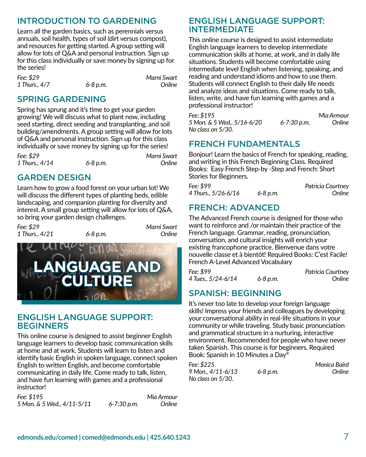# INTRODUCTION TO GARDENING

Learn all the garden basics, such as perennials versus annuals, soil health, types of soil (dirt versus compost), and resources for getting started. A group setting will allow for lots of Q&A and personal instruction. Sign up for this class individually or save money by signing up for the series!

*Fee: \$29 Marni Swart 1 Thurs., 4/7 6-8 p.m. Online*

## SPRING GARDENING

Spring has sprung and it's time to get your garden growing! We will discuss what to plant now, including seed starting, direct seeding and transplanting, and soil building/amendments. A group setting will allow for lots of Q&A and personal instruction. Sign up for this class individually or save money by signing up for the series!

*Fee: \$29 Marni Swart 1 Thurs., 4/14* 6-8 p.m.

### GARDEN DESIGN

Learn how to grow a food forest on your urban lot! We will discuss the different types of planting beds, edible landscaping, and companion planting for diversity and interest. A small group setting will allow for lots of Q&A, so bring your garden design challenges.

*Fee: \$29 Marni Swart 1 Thurs., 4/21* 6-8 p.m.



#### ENGLISH LANGUAGE SUPPORT: BEGINNERS

This online course is designed to assist beginner English language learners to develop basic communication skills at home and at work. Students will learn to listen and identify basic English in spoken language, connect spoken English to written English, and become comfortable communicating in daily life. Come ready to talk, listen, and have fun learning with games and a professional instructor!

*Fee: \$195 Mia Armour 5 Mon. & 5 Wed., 4/11-5/11 6-7:30 p.m. Online*

ENGLISH LANGUAGE SUPPORT: INTERMEDIATE

This online course is designed to assist intermediate English language learners to develop intermediate communication skills at home, at work, and in daily life situations. Students will become comfortable using intermediate level English when listening, speaking, and reading and understand idioms and how to use them. Students will connect English to their daily life needs and analyze ideas and situations. Come ready to talk, listen, write, and have fun learning with games and a professional instructor!

*Fee: \$195 Mia Armour 5 Mon. & 5 Wed., 5/16-6/20 6-7:30 p.m. Online No class on 5/30.*

## FRENCH FUNDAMENTALS

Bonjour! Learn the basics of French for speaking, reading, and writing in this French Beginning Class. Required Books: Easy French Step-by -Step and French: Short Stories for Beginners.

| Fee: \$99           |              | Patricia Courtney |
|---------------------|--------------|-------------------|
| 4 Thurs., 5/26-6/16 | $6 - 8 p.m.$ | Online            |

## FRENCH: ADVANCED

The Advanced French course is designed for those who want to reinforce and /or maintain their practice of the French language. Grammar, reading, pronunciation, conversation, and cultural insights will enrich your existing francophone practice. Bienvenue dans votre nouvelle classe et à bientôt! Required Books: C'est Facile! French A-Level Advanced Vocabulary

*Fee: \$99 Patricia Courtney 4 Tues., 5/24-6/14 6-8 p.m. Online*

## SPANISH: BEGINNING

It's never too late to develop your foreign language skills! Impress your friends and colleagues by developing your conversational ability in real-life situations in your community or while traveling. Study basic pronunciation and grammatical structure in a nurturing, interactive environment. Recommended for people who have never taken Spanish. This course is for beginners. Required Book: Spanish in 10 Minutes a Day®

| Fee: \$225        |              | Monica Baird |
|-------------------|--------------|--------------|
| 9 Mon., 4/11-6/13 | $6 - 8 p.m.$ | Online       |
| No class on 5/30. |              |              |

**edmonds.edu/comed | comed@edmonds.edu | 425.640.1243** 7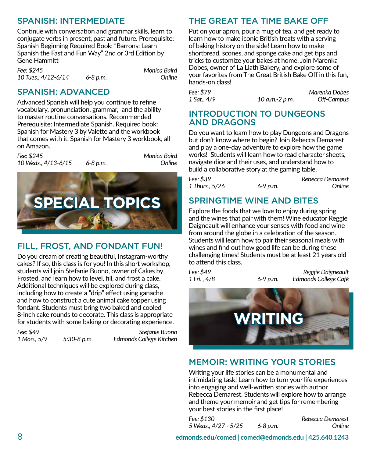# SPANISH: INTERMEDIATE

Continue with conversation and grammar skills, learn to conjugate verbs in present, past and future. Prerequisite: Spanish Beginning Required Book: "Barrons: Learn Spanish the Fast and Fun Way" 2nd or 3rd Edition by Gene Hammitt

*Fee: \$245 Monica Baird 10 Tues., 4/12-6/14* 

## SPANISH: ADVANCED

Advanced Spanish will help you continue to refine vocabulary, pronunciation, grammar, and the ability to master routine conversations. Recommended Prerequisite: Intermediate Spanish. Required book: Spanish for Mastery 3 by Valette and the workbook that comes with it, Spanish for Mastery 3 workbook, all on Amazon.

| Fee: \$245<br>10 Weds., 4/13-6/15 | 6-8 p.m. | Monica Baird<br>Online |
|-----------------------------------|----------|------------------------|
|                                   |          |                        |

**SPECIAL TOPICS**

# FILL, FROST, AND FONDANT FUN!

Do you dream of creating beautiful, Instagram-worthy cakes? If so, this class is for you! In this short workshop, students will join Stefanie Buono, owner of Cakes by Frosted, and learn how to level, fill, and frost a cake. Additional techniques will be explored during class, including how to create a "drip" effect using ganache and how to construct a cute animal cake topper using fondant. Students must bring two baked and cooled 8-inch cake rounds to decorate. This class is appropriate for students with some baking or decorating experience.

*Fee: \$49 Stefanie Buono 1 Mon., 5/9 5:30-8 p.m. Edmonds College Kitchen*

# THE GREAT TEA TIME BAKE OFF

Put on your apron, pour a mug of tea, and get ready to learn how to make iconic British treats with a serving of baking history on the side! Learn how to make shortbread, scones, and sponge cake and get tips and tricks to customize your bakes at home. Join Marenka Dobes, owner of La Liath Bakery, and explore some of your favorites from The Great British Bake Off in this fun, hands-on class!

*Fee: \$79 Marenka Dobes 1 Sat., 4/9 10 a.m.-2 p.m. Off-Campus*

#### INTRODUCTION TO DUNGEONS AND DRAGONS

Do you want to learn how to play Dungeons and Dragons but don't know where to begin? Join Rebecca Demarest and play a one-day adventure to explore how the game works! Students will learn how to read character sheets, navigate dice and their uses, and understand how to build a collaborative story at the gaming table.

| Fee: \$39      |          | Rebecca Demarest |
|----------------|----------|------------------|
| 1 Thurs., 5/26 | 6-9 p.m. | Online           |

# SPRINGTIME WINE AND BITES

Explore the foods that we love to enjoy during spring and the wines that pair with them! Wine educator Reggie Daigneault will enhance your senses with food and wine from around the globe in a celebration of the season. Students will learn how to pair their seasonal meals with wines and find out how good life can be during these challenging times! Students must be at least 21 years old to attend this class.

*Fee: \$49 Reggie Daigneault 1 Fri. , 4/8 6-9 p.m. Edmonds College Café*



## MEMOIR: WRITING YOUR STORIES

Writing your life stories can be a monumental and intimidating task! Learn how to turn your life experiences into engaging and well-written stories with author Rebecca Demarest. Students will explore how to arrange and theme your memoir and get tips for remembering your best stories in the first place!

*Fee: \$130 Rebecca Demarest 5 Weds., 4/27 - 5/25 6-8 p.m. Online*

8 **edmonds.edu/comed | comed@edmonds.edu | 425.640.1243**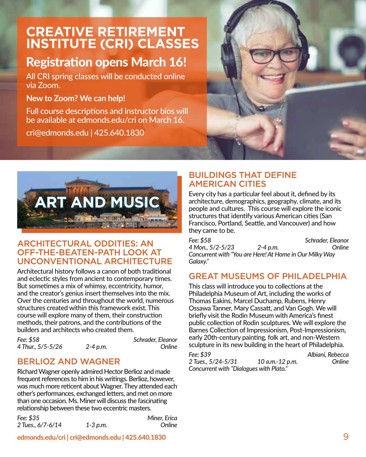# **CREATIVE RETIREMENT INSTITUTE (CRI) CLASSES**

# Registration opens March 16!

All CRI spring classes will be conducted online via Zoom.

#### **New to Zoom? We can help!**

Full course descriptions and instructor bios will be available at edmonds.edu/cri on March 16.

cri@edmonds.edu | 425.640.1830





## ARCHITECTURAL ODDITIES: AN OFF-THE-BEATEN-PATH LOOK AT UNCONVENTIONAL ARCHITECTURE

Architectural history follows a canon of both traditional and eclectic styles from ancient to contemporary times. But sometimes a mix of whimsy, eccentricity, humor, and the creator's genius insert themselves into the mix. Over the centuries and throughout the world, numerous structures created within this framework exist. This course will explore many of them, their construction methods, their patrons, and the contributions of the builders and architects who created them.

*Fee: \$58 Schrader, Eleanor 4 Thur., 5/5-5/26 2-4 p.m. Online*

# BERLIOZ AND WAGNER

Richard Wagner openly admired Hector Berlioz and made frequent references to him in his writings. Berlioz, however, was much more reticent about Wagner. They attended each other's performances, exchanged letters, and met on more than one occasion. Ms. Miner will discuss the fascinating relationship between these two eccentric masters.

*Fee: \$35 Miner, Erica 2 Tues., 6/7-6/14 1-3 p.m. Online* 

#### BUILDINGS THAT DEFINE AMERICAN CITIES

Every city has a particular feel about it, defined by its architecture, demographics, geography, climate, and its people and cultures. This course will explore the iconic structures that identify various American cities (San Francisco, Portland, Seattle, and Vancouver) and how they came to be.

*Fee: \$58 Schrader, Eleanor 4 Mon., 5/2-5/23 2-4 p.m. Online Concurrent with "You are Here! At Home in Our Milky Way Galaxy."*

#### GREAT MUSEUMS OF PHILADELPHIA

This class will introduce you to collections at the Philadelphia Museum of Art, including the works of Thomas Eakins, Marcel Duchamp, Rubens, Henry Ossawa Tanner, Mary Cassatt, and Van Gogh. We will briefly visit the Rodin Museum with America's finest public collection of Rodin sculptures. We will explore the Barnes Collection of Impressionism, Post-Impressionism, early 20th-century painting, folk art, and non-Western sculpture in its new building in the heart of Philadelphia.

*Fee: \$39 Albiani, Rebecca 2 Tues., 5/24-5/31 10 a.m.-12 p.m. Online Concurrent with "Dialogues with Plato."*

**edmonds.edu/cri | cri@edmonds.edu | 425.640.1830** 9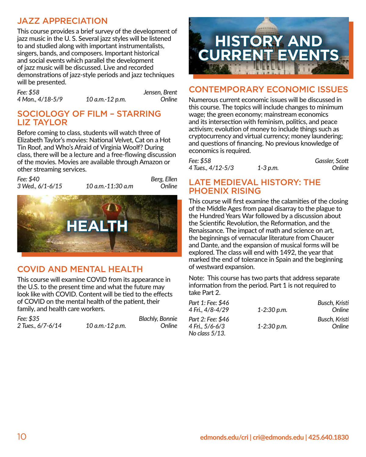## JAZZ APPRECIATION

This course provides a brief survey of the development of jazz music in the U. S. Several jazz styles will be listened to and studied along with important instrumentalists, singers, bands, and composers. Important historical and social events which parallel the development of jazz music will be discussed. Live and recorded demonstrations of jazz-style periods and jazz techniques will be presented.

*Fee: \$58 Jensen, Brent 4 Mon., 4/18-5/9 10 a.m.-12 p.m. Online*

#### SOCIOLOGY OF FILM – STARRING LIZ TAYLOR

Before coming to class, students will watch three of Elizabeth Taylor's movies: National Velvet, Cat on a Hot Tin Roof, and Who's Afraid of Virginia Woolf? During class, there will be a lecture and a free-flowing discussion of the movies. Movies are available through Amazon or other streaming services.

| Fee: \$40<br>3 Wed., 6/1-6/15 | 10 a.m.-11:30 a.m | Berg, Ellen<br>Online |
|-------------------------------|-------------------|-----------------------|
|                               | <b>HEALTH</b>     |                       |

# COVID AND MENTAL HEALTH

This course will examine COVID from its appearance in the U.S. to the present time and what the future may look like with COVID. Content will be tied to the effects of COVID on the mental health of the patient, their family, and health care workers.

| Fee: \$35         |                 | <b>Blachly, Bonnie</b> |
|-------------------|-----------------|------------------------|
| 2 Tues., 6/7-6/14 | 10 a.m.-12 p.m. | Online                 |



#### CONTEMPORARY ECONOMIC ISSUES

Numerous current economic issues will be discussed in this course. The topics will include changes to minimum wage; the green economy; mainstream economics and its intersection with feminism, politics, and peace activism; evolution of money to include things such as cryptocurrency and virtual currency; money laundering; and questions of financing. No previous knowledge of economics is required.

| Fee: \$58         |          | Gassler, Scott |
|-------------------|----------|----------------|
| 4 Tues., 4/12-5/3 | 1-3 p.m. | Online         |

#### LATE MEDIEVAL HISTORY: THE PHOENIX RISING

This course will first examine the calamities of the closing of the Middle Ages from papal disarray to the plague to the Hundred Years War followed by a discussion about the Scientific Revolution, the Reformation, and the Renaissance. The impact of math and science on art, the beginnings of vernacular literature from Chaucer and Dante, and the expansion of musical forms will be explored. The class will end with 1492, the year that marked the end of tolerance in Spain and the beginning of westward expansion.

Note: This course has two parts that address separate information from the period. Part 1 is not required to take Part 2.

| Part 1: Fee: \$46<br>4 Fri., 4/8-4/29                     | $1 - 2:30$ p.m. | Busch, Kristi<br>Online |
|-----------------------------------------------------------|-----------------|-------------------------|
| Part 2: Fee: \$46<br>4 Fri., 5/6-6/3<br>No class $5/13$ . | $1 - 2:30$ p.m. | Busch, Kristi<br>Online |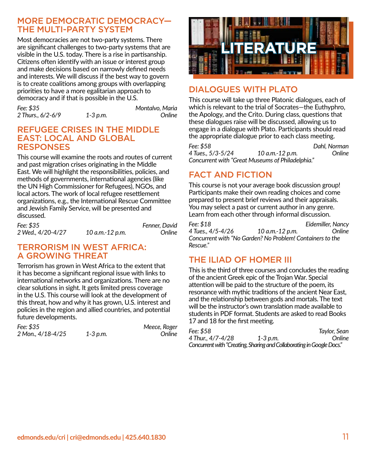#### MORE DEMOCRATIC DEMOCRACY— THE MULTI-PARTY SYSTEM

Most democracies are not two-party systems. There are significant challenges to two-party systems that are visible in the U.S. today. There is a rise in partisanship. Citizens often identify with an issue or interest group and make decisions based on narrowly defined needs and interests. We will discuss if the best way to govern is to create coalitions among groups with overlapping priorities to have a more egalitarian approach to democracy and if that is possible in the U.S.

*Fee: \$35 Montalvo, Maria 2 Thurs., 6/2-6/9 1-3 p.m. Online*

#### REFUGEE CRISES IN THE MIDDLE EAST: LOCAL AND GLOBAL RESPONSES

This course will examine the roots and routes of current and past migration crises originating in the Middle East. We will highlight the responsibilities, policies, and methods of governments, international agencies (like the UN High Commissioner for Refugees), NGOs, and local actors. The work of local refugee resettlement organizations, e.g., the International Rescue Committee and Jewish Family Service, will be presented and discussed.

| Fee: \$35         |                 | Fenner, David |
|-------------------|-----------------|---------------|
| 2 Wed., 4/20-4/27 | 10 a.m.-12 p.m. | Online        |

#### TERRORISM IN WEST AFRICA: A GROWING THREAT

Terrorism has grown in West Africa to the extent that it has become a significant regional issue with links to international networks and organizations. There are no clear solutions in sight. It gets limited press coverage in the U.S. This course will look at the development of this threat, how and why it has grown, U.S. interest and policies in the region and allied countries, and potential future developments.

| Fee: \$35         |              | Meece, Roger |
|-------------------|--------------|--------------|
| 2 Mon., 4/18-4/25 | $1 - 3 p.m.$ | Online       |



# DIALOGUES WITH PLATO

This course will take up three Platonic dialogues, each of which is relevant to the trial of Socrates—the Euthyphro, the Apology, and the Crito. During class, questions that these dialogues raise will be discussed, allowing us to engage in a dialogue with Plato. Participants should read the appropriate dialogue prior to each class meeting.

*Fee: \$58 Dahl, Norman 4 Tues., 5/3-5/24 10 a.m.-12 p.m. Online Concurrent with "Great Museums of Philadelphia."*

# FACT AND FICTION

This course is not your average book discussion group! Participants make their own reading choices and come prepared to present brief reviews and their appraisals. You may select a past or current author in any genre. Learn from each other through informal discussion.

*Fee: \$18 Eidemiller, Nancy 4 Tues., 4/5-4/26 10 a.m.-12 p.m. Online Concurrent with "No Garden? No Problem! Containers to the Rescue."*

# THE ILIAD OF HOMER III

This is the third of three courses and concludes the reading of the ancient Greek epic of the Trojan War. Special attention will be paid to the structure of the poem, its resonance with mythic traditions of the ancient Near East, and the relationship between gods and mortals. The text will be the instructor's own translation made available to students in PDF format. Students are asked to read Books 17 and 18 for the first meeting.

| Fee: \$58                                                             |          | Tavlor, Sean |
|-----------------------------------------------------------------------|----------|--------------|
| 4 Thur., 4/7-4/28                                                     | 1-3 p.m. | Online       |
| Concurrent with "Creating, Sharing and Collaborating in Google Docs." |          |              |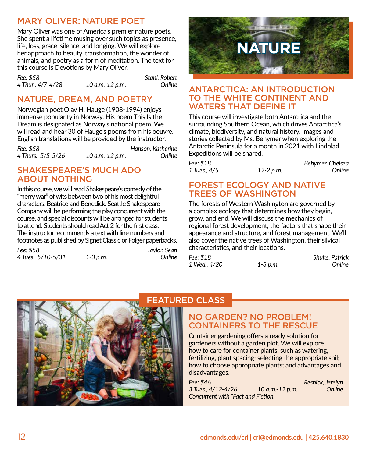## MARY OLIVER: NATURE POET

Mary Oliver was one of America's premier nature poets. She spent a lifetime musing over such topics as presence, life, loss, grace, silence, and longing. We will explore her approach to beauty, transformation, the wonder of animals, and poetry as a form of meditation. The text for this course is Devotions by Mary Oliver.

*Fee: \$58 Stahl, Robert 4 Thur., 4/7-4/28 10 a.m.-12 p.m. Online*

# NATURE, DREAM, AND POETRY

Norwegian poet Olav H. Hauge (1908-1994) enjoys immense popularity in Norway. His poem This Is the Dream is designated as Norway's national poem. We will read and hear 30 of Hauge's poems from his oeuvre. English translations will be provided by the instructor.

| Fee: \$58          |                 | Hanson, Katherine |
|--------------------|-----------------|-------------------|
| 4 Thurs., 5/5-5/26 | 10 a.m.-12 p.m. | Online            |

#### SHAKESPEARE'S MUCH ADO ABOUT NOTHING

In this course, we will read Shakespeare's comedy of the "merry war" of wits between two of his most delightful characters, Beatrice and Benedick. Seattle Shakespeare Company will be performing the play concurrent with the course, and special discounts will be arranged for students to attend. Students should read Act 2 for the first class. The instructor recommends a text with line numbers and footnotes as published by Signet Classic or Folger paperbacks.

| Fee: \$58          |              | Taylor, Sean |
|--------------------|--------------|--------------|
| 4 Tues., 5/10-5/31 | $1 - 3 p.m.$ | Online       |



#### ANTARCTICA: AN INTRODUCTION TO THE WHITE CONTINENT AND WATERS THAT DEFINE IT

This course will investigate both Antarctica and the surrounding Southern Ocean, which drives Antarctica's climate, biodiversity, and natural history. Images and stories collected by Ms. Behymer when exploring the Antarctic Peninsula for a month in 2021 with Lindblad Expeditions will be shared.

| Fee: \$18    |           | Behymer, Chelsea |
|--------------|-----------|------------------|
| 1 Tues., 4/5 | 12-2 p.m. | Online           |

#### FOREST ECOLOGY AND NATIVE TREES OF WASHINGTON

The forests of Western Washington are governed by a complex ecology that determines how they begin, grow, and end. We will discuss the mechanics of regional forest development, the factors that shape their appearance and structure, and forest management. We'll also cover the native trees of Washington, their silvical characteristics, and their locations.

| Fee: \$18    |          | <b>Shults, Patrick</b> |
|--------------|----------|------------------------|
| 1 Wed., 4/20 | 1-3 p.m. | Online                 |



## FEATURED CLASS

#### NO GARDEN? NO PROBLEM! CONTAINERS TO THE RESCUE

Container gardening offers a ready solution for gardeners without a garden plot. We will explore how to care for container plants, such as watering, fertilizing, plant spacing; selecting the appropriate soil; how to choose appropriate plants; and advantages and disadvantages.

*Fee: \$46 Resnick, Jerelyn 3 Tues., 4/12-4/26 10 a.m.-12 p.m. Online Concurrent with "Fact and Fiction."*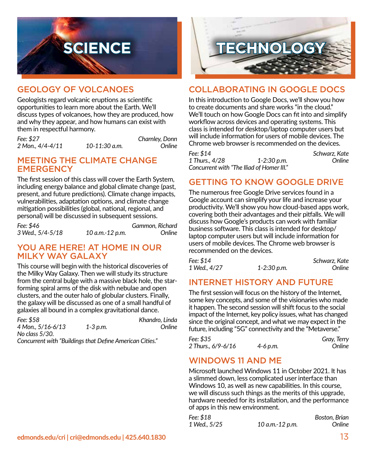

#### GEOLOGY OF VOLCANOES

Geologists regard volcanic eruptions as scientific opportunities to learn more about the Earth. We'll discuss types of volcanoes, how they are produced, how and why they appear, and how humans can exist with them in respectful harmony.

*Fee: \$27 Charnley, Donn 2 Mon., 4/4-4/11 10-11:30 a.m. Online*

#### MEETING THE CLIMATE CHANGE **EMERGENCY**

The first session of this class will cover the Earth System, including energy balance and global climate change (past, present, and future predictions). Climate change impacts, vulnerabilities, adaptation options, and climate change mitigation possibilities (global, national, regional, and personal) will be discussed in subsequent sessions.

| Fee: \$46        |                 | Gammon, Richard |
|------------------|-----------------|-----------------|
| 3 Wed., 5/4-5/18 | 10 a.m.-12 p.m. | Online          |

#### YOU ARE HERE! AT HOME IN OUR MILKY WAY GALAXY

This course will begin with the historical discoveries of the Milky Way Galaxy. Then we will study its structure from the central bulge with a massive black hole, the starforming spiral arms of the disk with nebulae and open clusters, and the outer halo of globular clusters. Finally, the galaxy will be discussed as one of a small handful of galaxies all bound in a complex gravitational dance.

| Fee: \$58                                                |          | Khandro, Linda |
|----------------------------------------------------------|----------|----------------|
| 4 Mon., 5/16-6/13                                        | 1-3 p.m. | Online         |
| No class 5/30.                                           |          |                |
| Concurrent with "Buildings that Define American Cities." |          |                |

**SCIENCE TECHNOLOGY**

#### COLLABORATING IN GOOGLE DOCS

In this introduction to Google Docs, we'll show you how to create documents and share works "in the cloud." We'll touch on how Google Docs can fit into and simplify workflow across devices and operating systems. This class is intended for desktop/laptop computer users but will include information for users of mobile devices. The Chrome web browser is recommended on the devices.

*Fee: \$14 Schwarz, Kate 1 Thurs., 4/28 1-2:30 p.m. Online Concurrent with "The Iliad of Homer III."*

### GETTING TO KNOW GOOGLE DRIVE

The numerous free Google Drive services found in a Google account can simplify your life and increase your productivity. We'll show you how cloud-based apps work, covering both their advantages and their pitfalls. We will discuss how Google's products can work with familiar business software. This class is intended for desktop/ laptop computer users but will include information for users of mobile devices. The Chrome web browser is recommended on the devices.

| Fee: \$14    |                 | Schwarz, Kate |
|--------------|-----------------|---------------|
| 1 Wed., 4/27 | $1 - 2:30 p.m.$ | Online        |

#### INTERNET HISTORY AND FUTURE

The first session will focus on the history of the Internet, some key concepts, and some of the visionaries who made it happen. The second session will shift focus to the social impact of the Internet, key policy issues, what has changed since the original concept, and what we may expect in the future, including "5G" connectivity and the "Metaverse."

| Fee: \$35          |              | Gray, Terry |
|--------------------|--------------|-------------|
| 2 Thurs., 6/9-6/16 | $4 - 6 p.m.$ | Online      |

#### WINDOWS 11 AND ME

Microsoft launched Windows 11 in October 2021. It has a slimmed down, less complicated user interface than Windows 10, as well as new capabilities. In this course, we will discuss such things as the merits of this upgrade, hardware needed for its installation, and the performance of apps in this new environment.

| Fee: \$18    |                 | Boston, Brian |
|--------------|-----------------|---------------|
| 1 Wed., 5/25 | 10 a.m.-12 p.m. | Online        |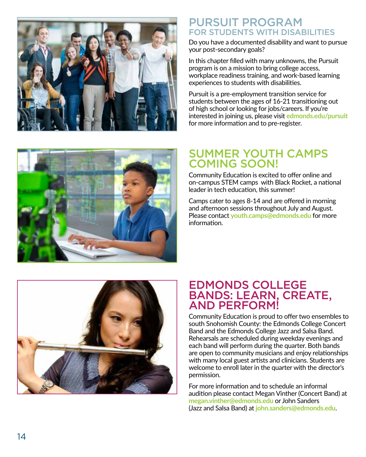

## PURSUIT PROGRAM FOR STUDENTS WITH DISABILITIES

Do you have a documented disability and want to pursue your post-secondary goals?

In this chapter filled with many unknowns, the Pursuit program is on a mission to bring college access, workplace readiness training, and work-based learning experiences to students with disabilities.

Pursuit is a pre-employment transition service for students between the ages of 16-21 transitioning out of high school or looking for jobs/careers. If you're interested in joining us, please visit **edmonds.edu/pursuit** for more information and to pre ‑register.



# SUMMER YOUTH CAMPS COMING SOON!

Community Education is excited to offer online and on-campus STEM camps with Black Rocket, a national leader in tech education, this summer!

Camps cater to ages 8-14 and are offered in morning and afternoon sessions throughout July and August. Please contact **youth.camps@edmonds.edu** for more information.



# EDMONDS COLLEGE BANDS: LEARN, CREATE, AND PERFORM!

Community Education is proud to offer two ensembles to south Snohomish County: the Edmonds College Concert Band and the Edmonds College Jazz and Salsa Band. Rehearsals are scheduled during weekday evenings and each band will perform during the quarter. Both bands are open to community musicians and enjoy relationships with many local guest artists and clinicians. Students are welcome to enroll later in the quarter with the director's permission.

For more information and to schedule an informal audition please contact Megan Vinther (Concert Band) at **megan.vinther@edmonds.edu** or John Sanders (Jazz and Salsa Band) at **john.sanders@edmonds.edu** .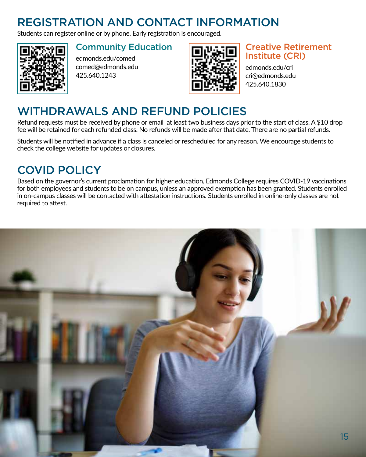# REGISTRATION AND CONTACT INFORMATION

Students can register online or by phone. Early registration is encouraged.



## Community Education

edmonds.edu/comed comed@edmonds.edu 425.640.1243



## Creative Retirement Institute (CRI)

edmonds.edu/cri cri@edmonds.edu 425.640.1830

# WITHDRAWALS AND REFUND POLICIES

Refund requests must be received by phone or email at least two business days prior to the start of class. A \$10 drop fee will be retained for each refunded class. No refunds will be made after that date. There are no partial refunds.

Students will be notified in advance if a class is canceled or rescheduled for any reason. We encourage students to check the college website for updates or closures.

# COVID POLICY

Based on the governor's current proclamation for higher education, Edmonds College requires COVID-19 vaccinations for both employees and students to be on campus, unless an approved exemption has been granted. Students enrolled in on-campus classes will be contacted with attestation instructions. Students enrolled in online-only classes are not required to attest.